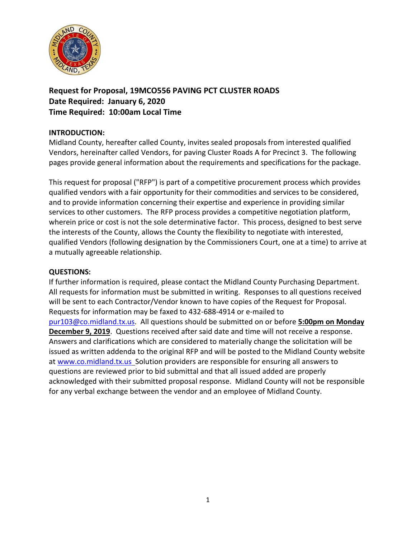

# **Request for Proposal, 19MCO556 PAVING PCT CLUSTER ROADS Date Required: January 6, 2020 Time Required: 10:00am Local Time**

# **INTRODUCTION:**

Midland County, hereafter called County, invites sealed proposals from interested qualified Vendors, hereinafter called Vendors, for paving Cluster Roads A for Precinct 3. The following pages provide general information about the requirements and specifications for the package.

This request for proposal ("RFP") is part of a competitive procurement process which provides qualified vendors with a fair opportunity for their commodities and services to be considered, and to provide information concerning their expertise and experience in providing similar services to other customers. The RFP process provides a competitive negotiation platform, wherein price or cost is not the sole determinative factor. This process, designed to best serve the interests of the County, allows the County the flexibility to negotiate with interested, qualified Vendors (following designation by the Commissioners Court, one at a time) to arrive at a mutually agreeable relationship.

# **QUESTIONS:**

If further information is required, please contact the Midland County Purchasing Department. All requests for information must be submitted in writing. Responses to all questions received will be sent to each Contractor/Vendor known to have copies of the Request for Proposal. Requests for information may be faxed to 432-688-4914 or e-mailed to [pur103@co.midland.tx.us.](mailto:pur103@co.midland.tx.us) All questions should be submitted on or before **5:00pm on Monday December 9, 2019**. Questions received after said date and time will not receive a response. Answers and clarifications which are considered to materially change the solicitation will be issued as written addenda to the original RFP and will be posted to the Midland County website at [www.co.midland.tx.us](http://www.co.midland.tx.us/) Solution providers are responsible for ensuring all answers to questions are reviewed prior to bid submittal and that all issued added are properly acknowledged with their submitted proposal response. Midland County will not be responsible for any verbal exchange between the vendor and an employee of Midland County.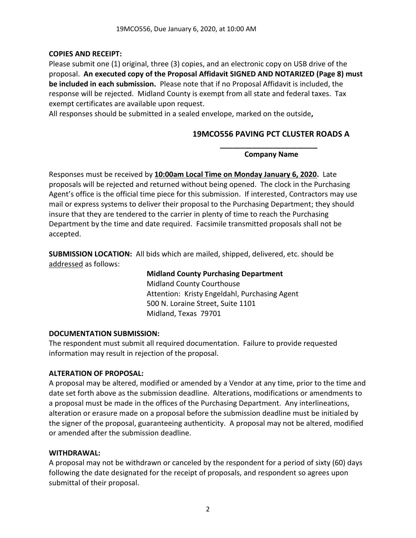# **COPIES AND RECEIPT:**

Please submit one (1) original, three (3) copies, and an electronic copy on USB drive of the proposal. **An executed copy of the Proposal Affidavit SIGNED AND NOTARIZED (Page 8) must be included in each submission.** Please note that if no Proposal Affidavit is included, the response will be rejected. Midland County is exempt from all state and federal taxes. Tax exempt certificates are available upon request.

All responses should be submitted in a sealed envelope, marked on the outside**,** 

# **19MCO556 PAVING PCT CLUSTER ROADS A \_\_\_\_\_\_\_\_\_\_\_\_\_\_\_\_\_\_\_\_\_\_\_\_**

**Company Name**

Responses must be received by **10:00am Local Time on Monday January 6, 2020.** Late proposals will be rejected and returned without being opened. The clock in the Purchasing Agent's office is the official time piece for this submission. If interested, Contractors may use mail or express systems to deliver their proposal to the Purchasing Department; they should insure that they are tendered to the carrier in plenty of time to reach the Purchasing Department by the time and date required. Facsimile transmitted proposals shall not be accepted.

**SUBMISSION LOCATION:** All bids which are mailed, shipped, delivered, etc. should be addressed as follows:

> **Midland County Purchasing Department** Midland County Courthouse Attention: Kristy Engeldahl, Purchasing Agent 500 N. Loraine Street, Suite 1101 Midland, Texas 79701

# **DOCUMENTATION SUBMISSION:**

The respondent must submit all required documentation. Failure to provide requested information may result in rejection of the proposal.

# **ALTERATION OF PROPOSAL:**

A proposal may be altered, modified or amended by a Vendor at any time, prior to the time and date set forth above as the submission deadline. Alterations, modifications or amendments to a proposal must be made in the offices of the Purchasing Department. Any interlineations, alteration or erasure made on a proposal before the submission deadline must be initialed by the signer of the proposal, guaranteeing authenticity. A proposal may not be altered, modified or amended after the submission deadline.

# **WITHDRAWAL:**

A proposal may not be withdrawn or canceled by the respondent for a period of sixty (60) days following the date designated for the receipt of proposals, and respondent so agrees upon submittal of their proposal.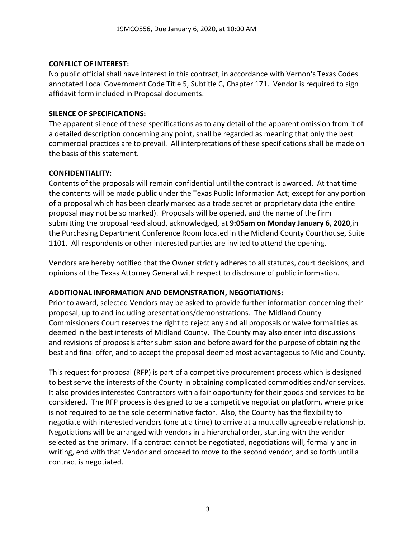### **CONFLICT OF INTEREST:**

No public official shall have interest in this contract, in accordance with Vernon's Texas Codes annotated Local Government Code Title 5, Subtitle C, Chapter 171. Vendor is required to sign affidavit form included in Proposal documents.

## **SILENCE OF SPECIFICATIONS:**

The apparent silence of these specifications as to any detail of the apparent omission from it of a detailed description concerning any point, shall be regarded as meaning that only the best commercial practices are to prevail. All interpretations of these specifications shall be made on the basis of this statement.

### **CONFIDENTIALITY:**

Contents of the proposals will remain confidential until the contract is awarded. At that time the contents will be made public under the Texas Public Information Act; except for any portion of a proposal which has been clearly marked as a trade secret or proprietary data (the entire proposal may not be so marked). Proposals will be opened, and the name of the firm submitting the proposal read aloud, acknowledged, at **9:05am on Monday January 6, 2020**,in the Purchasing Department Conference Room located in the Midland County Courthouse, Suite 1101. All respondents or other interested parties are invited to attend the opening.

Vendors are hereby notified that the Owner strictly adheres to all statutes, court decisions, and opinions of the Texas Attorney General with respect to disclosure of public information.

# **ADDITIONAL INFORMATION AND DEMONSTRATION, NEGOTIATIONS:**

Prior to award, selected Vendors may be asked to provide further information concerning their proposal, up to and including presentations/demonstrations. The Midland County Commissioners Court reserves the right to reject any and all proposals or waive formalities as deemed in the best interests of Midland County. The County may also enter into discussions and revisions of proposals after submission and before award for the purpose of obtaining the best and final offer, and to accept the proposal deemed most advantageous to Midland County.

This request for proposal (RFP) is part of a competitive procurement process which is designed to best serve the interests of the County in obtaining complicated commodities and/or services. It also provides interested Contractors with a fair opportunity for their goods and services to be considered. The RFP process is designed to be a competitive negotiation platform, where price is not required to be the sole determinative factor. Also, the County has the flexibility to negotiate with interested vendors (one at a time) to arrive at a mutually agreeable relationship. Negotiations will be arranged with vendors in a hierarchal order, starting with the vendor selected as the primary. If a contract cannot be negotiated, negotiations will, formally and in writing, end with that Vendor and proceed to move to the second vendor, and so forth until a contract is negotiated.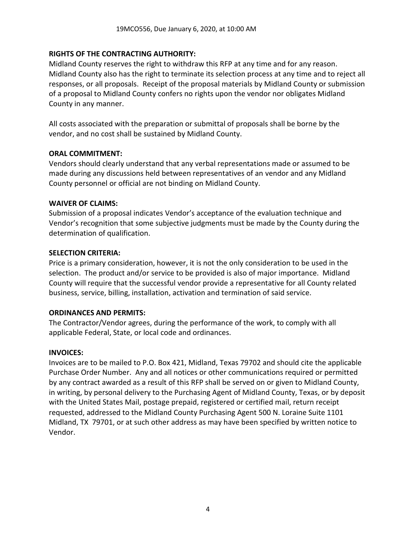### **RIGHTS OF THE CONTRACTING AUTHORITY:**

Midland County reserves the right to withdraw this RFP at any time and for any reason. Midland County also has the right to terminate its selection process at any time and to reject all responses, or all proposals. Receipt of the proposal materials by Midland County or submission of a proposal to Midland County confers no rights upon the vendor nor obligates Midland County in any manner.

All costs associated with the preparation or submittal of proposals shall be borne by the vendor, and no cost shall be sustained by Midland County.

#### **ORAL COMMITMENT:**

Vendors should clearly understand that any verbal representations made or assumed to be made during any discussions held between representatives of an vendor and any Midland County personnel or official are not binding on Midland County.

#### **WAIVER OF CLAIMS:**

Submission of a proposal indicates Vendor's acceptance of the evaluation technique and Vendor's recognition that some subjective judgments must be made by the County during the determination of qualification.

#### **SELECTION CRITERIA:**

Price is a primary consideration, however, it is not the only consideration to be used in the selection. The product and/or service to be provided is also of major importance. Midland County will require that the successful vendor provide a representative for all County related business, service, billing, installation, activation and termination of said service.

#### **ORDINANCES AND PERMITS:**

The Contractor/Vendor agrees, during the performance of the work, to comply with all applicable Federal, State, or local code and ordinances.

#### **INVOICES:**

Invoices are to be mailed to P.O. Box 421, Midland, Texas 79702 and should cite the applicable Purchase Order Number. Any and all notices or other communications required or permitted by any contract awarded as a result of this RFP shall be served on or given to Midland County, in writing, by personal delivery to the Purchasing Agent of Midland County, Texas, or by deposit with the United States Mail, postage prepaid, registered or certified mail, return receipt requested, addressed to the Midland County Purchasing Agent 500 N. Loraine Suite 1101 Midland, TX 79701, or at such other address as may have been specified by written notice to Vendor.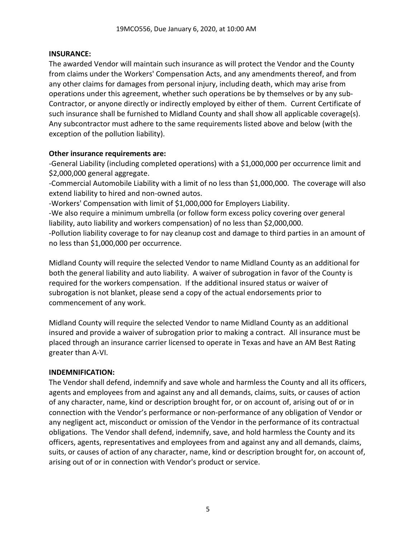### **INSURANCE:**

The awarded Vendor will maintain such insurance as will protect the Vendor and the County from claims under the Workers' Compensation Acts, and any amendments thereof, and from any other claims for damages from personal injury, including death, which may arise from operations under this agreement, whether such operations be by themselves or by any sub-Contractor, or anyone directly or indirectly employed by either of them. Current Certificate of such insurance shall be furnished to Midland County and shall show all applicable coverage(s). Any subcontractor must adhere to the same requirements listed above and below (with the exception of the pollution liability).

### **Other insurance requirements are:**

-General Liability (including completed operations) with a \$1,000,000 per occurrence limit and \$2,000,000 general aggregate.

-Commercial Automobile Liability with a limit of no less than \$1,000,000. The coverage will also extend liability to hired and non-owned autos.

-Workers' Compensation with limit of \$1,000,000 for Employers Liability.

-We also require a minimum umbrella (or follow form excess policy covering over general liability, auto liability and workers compensation) of no less than \$2,000,000.

-Pollution liability coverage to for nay cleanup cost and damage to third parties in an amount of no less than \$1,000,000 per occurrence.

Midland County will require the selected Vendor to name Midland County as an additional for both the general liability and auto liability. A waiver of subrogation in favor of the County is required for the workers compensation. If the additional insured status or waiver of subrogation is not blanket, please send a copy of the actual endorsements prior to commencement of any work.

Midland County will require the selected Vendor to name Midland County as an additional insured and provide a waiver of subrogation prior to making a contract. All insurance must be placed through an insurance carrier licensed to operate in Texas and have an AM Best Rating greater than A-VI.

#### **INDEMNIFICATION:**

The Vendor shall defend, indemnify and save whole and harmless the County and all its officers, agents and employees from and against any and all demands, claims, suits, or causes of action of any character, name, kind or description brought for, or on account of, arising out of or in connection with the Vendor's performance or non-performance of any obligation of Vendor or any negligent act, misconduct or omission of the Vendor in the performance of its contractual obligations. The Vendor shall defend, indemnify, save, and hold harmless the County and its officers, agents, representatives and employees from and against any and all demands, claims, suits, or causes of action of any character, name, kind or description brought for, on account of, arising out of or in connection with Vendor's product or service.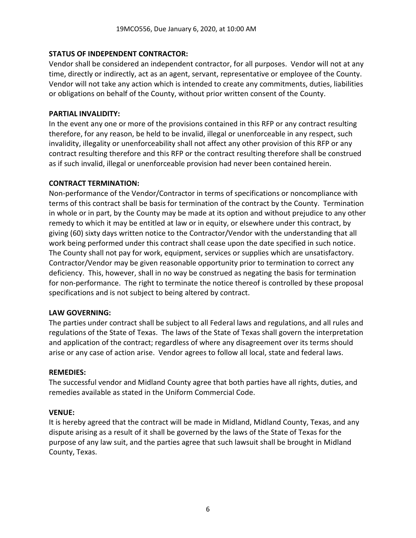### **STATUS OF INDEPENDENT CONTRACTOR:**

Vendor shall be considered an independent contractor, for all purposes. Vendor will not at any time, directly or indirectly, act as an agent, servant, representative or employee of the County. Vendor will not take any action which is intended to create any commitments, duties, liabilities or obligations on behalf of the County, without prior written consent of the County.

### **PARTIAL INVALIDITY:**

In the event any one or more of the provisions contained in this RFP or any contract resulting therefore, for any reason, be held to be invalid, illegal or unenforceable in any respect, such invalidity, illegality or unenforceability shall not affect any other provision of this RFP or any contract resulting therefore and this RFP or the contract resulting therefore shall be construed as if such invalid, illegal or unenforceable provision had never been contained herein.

### **CONTRACT TERMINATION:**

Non-performance of the Vendor/Contractor in terms of specifications or noncompliance with terms of this contract shall be basis for termination of the contract by the County. Termination in whole or in part, by the County may be made at its option and without prejudice to any other remedy to which it may be entitled at law or in equity, or elsewhere under this contract, by giving (60) sixty days written notice to the Contractor/Vendor with the understanding that all work being performed under this contract shall cease upon the date specified in such notice. The County shall not pay for work, equipment, services or supplies which are unsatisfactory. Contractor/Vendor may be given reasonable opportunity prior to termination to correct any deficiency. This, however, shall in no way be construed as negating the basis for termination for non-performance. The right to terminate the notice thereof is controlled by these proposal specifications and is not subject to being altered by contract.

#### **LAW GOVERNING:**

The parties under contract shall be subject to all Federal laws and regulations, and all rules and regulations of the State of Texas. The laws of the State of Texas shall govern the interpretation and application of the contract; regardless of where any disagreement over its terms should arise or any case of action arise. Vendor agrees to follow all local, state and federal laws.

#### **REMEDIES:**

The successful vendor and Midland County agree that both parties have all rights, duties, and remedies available as stated in the Uniform Commercial Code.

#### **VENUE:**

It is hereby agreed that the contract will be made in Midland, Midland County, Texas, and any dispute arising as a result of it shall be governed by the laws of the State of Texas for the purpose of any law suit, and the parties agree that such lawsuit shall be brought in Midland County, Texas.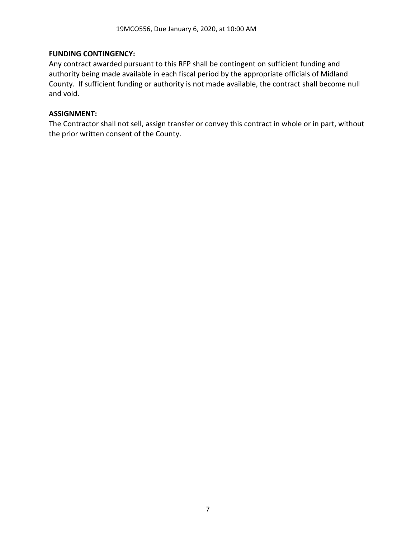### **FUNDING CONTINGENCY:**

Any contract awarded pursuant to this RFP shall be contingent on sufficient funding and authority being made available in each fiscal period by the appropriate officials of Midland County. If sufficient funding or authority is not made available, the contract shall become null and void.

### **ASSIGNMENT:**

The Contractor shall not sell, assign transfer or convey this contract in whole or in part, without the prior written consent of the County.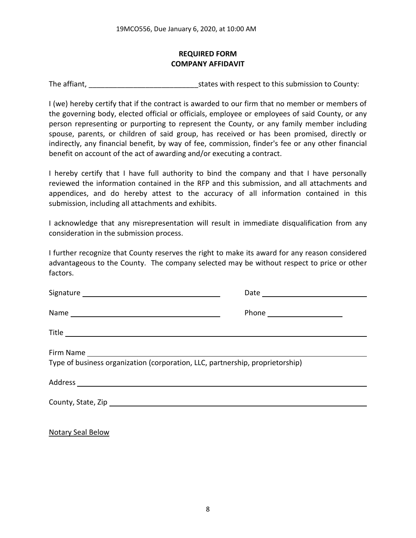# **REQUIRED FORM COMPANY AFFIDAVIT**

The affiant, The affiant, The affiant,  $\frac{1}{2}$  is tates with respect to this submission to County:

I (we) hereby certify that if the contract is awarded to our firm that no member or members of the governing body, elected official or officials, employee or employees of said County, or any person representing or purporting to represent the County, or any family member including spouse, parents, or children of said group, has received or has been promised, directly or indirectly, any financial benefit, by way of fee, commission, finder's fee or any other financial benefit on account of the act of awarding and/or executing a contract.

I hereby certify that I have full authority to bind the company and that I have personally reviewed the information contained in the RFP and this submission, and all attachments and appendices, and do hereby attest to the accuracy of all information contained in this submission, including all attachments and exhibits.

I acknowledge that any misrepresentation will result in immediate disqualification from any consideration in the submission process.

I further recognize that County reserves the right to make its award for any reason considered advantageous to the County. The company selected may be without respect to price or other factors.

| Type of business organization (corporation, LLC, partnership, proprietorship) |  |  |
|-------------------------------------------------------------------------------|--|--|

Notary Seal Below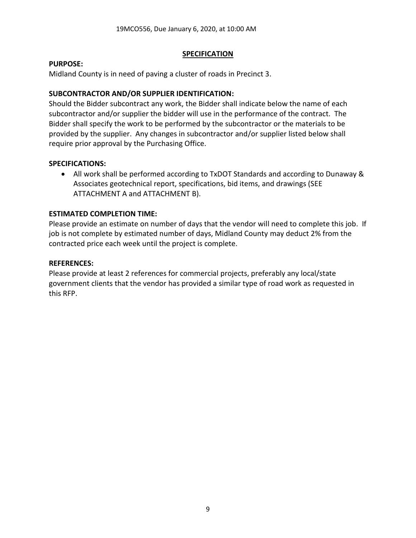## **SPECIFICATION**

### **PURPOSE:**

Midland County is in need of paving a cluster of roads in Precinct 3.

# **SUBCONTRACTOR AND/OR SUPPLIER IDENTIFICATION:**

Should the Bidder subcontract any work, the Bidder shall indicate below the name of each subcontractor and/or supplier the bidder will use in the performance of the contract. The Bidder shall specify the work to be performed by the subcontractor or the materials to be provided by the supplier. Any changes in subcontractor and/or supplier listed below shall require prior approval by the Purchasing Office.

# **SPECIFICATIONS:**

• All work shall be performed according to TxDOT Standards and according to Dunaway & Associates geotechnical report, specifications, bid items, and drawings (SEE ATTACHMENT A and ATTACHMENT B).

# **ESTIMATED COMPLETION TIME:**

Please provide an estimate on number of days that the vendor will need to complete this job. If job is not complete by estimated number of days, Midland County may deduct 2% from the contracted price each week until the project is complete.

### **REFERENCES:**

Please provide at least 2 references for commercial projects, preferably any local/state government clients that the vendor has provided a similar type of road work as requested in this RFP.